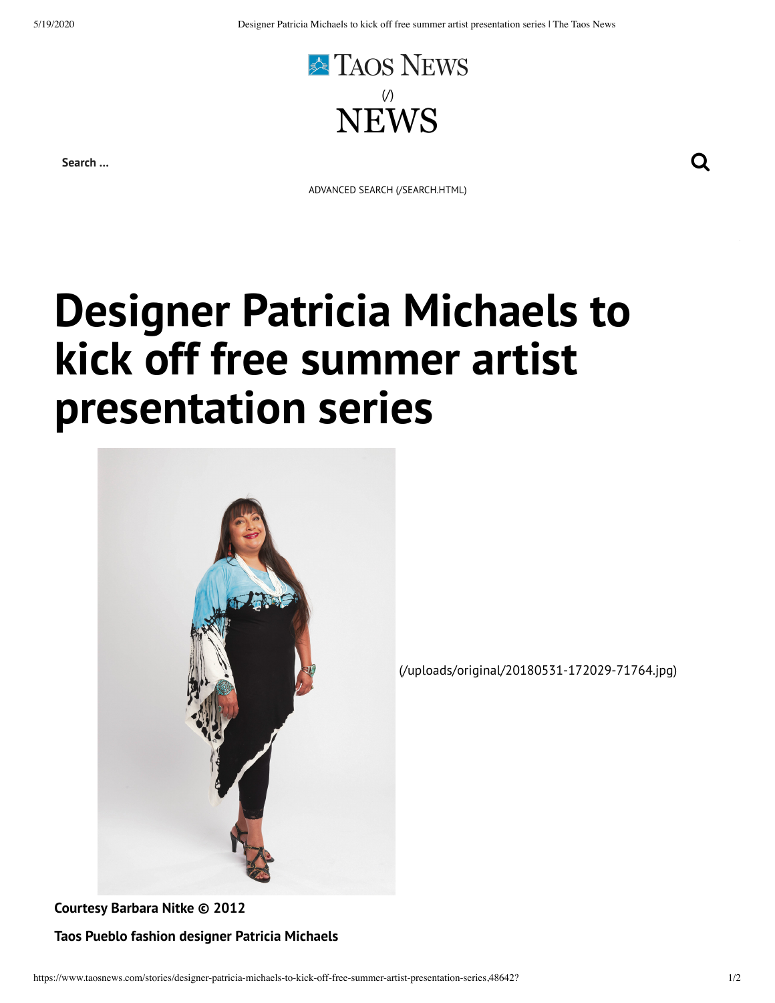

**Search …**

ADVANCED SEARCH [\(/SEARCH.HTML\)](https://www.taosnews.com/search.html)

## **Designer Patricia Michaels to kick off free summer artist presentation series**



[\(/uploads/original/20180531-172029-71764.jpg\)](https://www.taosnews.com/uploads/original/20180531-172029-71764.jpg)

**Courtesy Barbara Nitke © 2012 Taos Pueblo fashion designer Patricia Michaels**